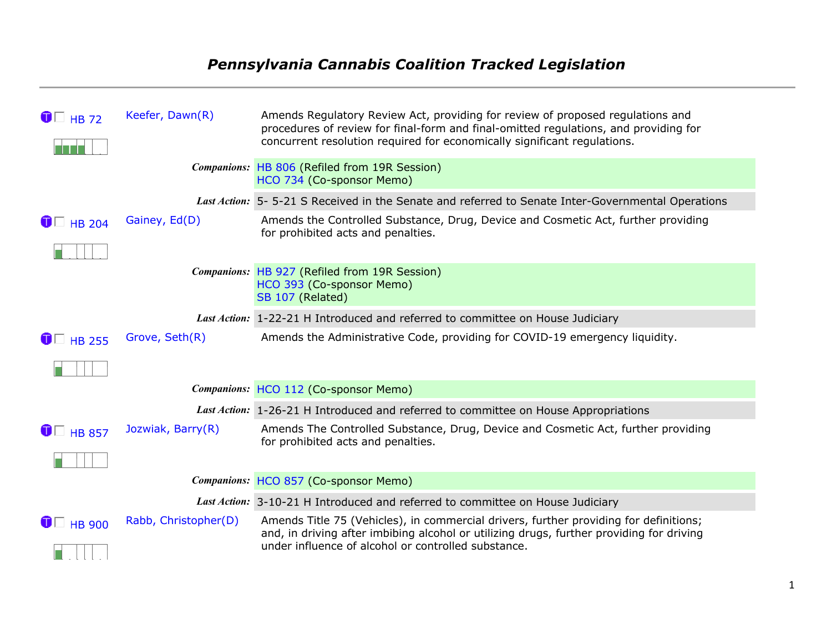## *Pennsylvania Cannabis Coalition Tracked Legislation*

| $\bigcirc$ $\Box$ HB 72  | Keefer, Dawn(R)      | Amends Regulatory Review Act, providing for review of proposed regulations and<br>procedures of review for final-form and final-omitted regulations, and providing for<br>concurrent resolution required for economically significant regulations. |
|--------------------------|----------------------|----------------------------------------------------------------------------------------------------------------------------------------------------------------------------------------------------------------------------------------------------|
|                          |                      | Companions: HB 806 (Refiled from 19R Session)<br>HCO 734 (Co-sponsor Memo)                                                                                                                                                                         |
|                          |                      | Last Action: 5-5-21 S Received in the Senate and referred to Senate Inter-Governmental Operations                                                                                                                                                  |
| $\bigcirc$ HB 204        | Gainey, Ed(D)        | Amends the Controlled Substance, Drug, Device and Cosmetic Act, further providing<br>for prohibited acts and penalties.                                                                                                                            |
|                          |                      | Companions: HB 927 (Refiled from 19R Session)<br>HCO 393 (Co-sponsor Memo)<br>SB 107 (Related)                                                                                                                                                     |
|                          |                      | Last Action: 1-22-21 H Introduced and referred to committee on House Judiciary                                                                                                                                                                     |
| $\bigcirc$ HB 255        | Grove, Seth(R)       | Amends the Administrative Code, providing for COVID-19 emergency liquidity.                                                                                                                                                                        |
|                          |                      |                                                                                                                                                                                                                                                    |
|                          |                      | Companions: HCO 112 (Co-sponsor Memo)                                                                                                                                                                                                              |
|                          |                      | Last Action: 1-26-21 H Introduced and referred to committee on House Appropriations                                                                                                                                                                |
| $\bigcirc$ HB 857        | Jozwiak, Barry(R)    | Amends The Controlled Substance, Drug, Device and Cosmetic Act, further providing<br>for prohibited acts and penalties.                                                                                                                            |
|                          |                      |                                                                                                                                                                                                                                                    |
|                          |                      | Companions: HCO 857 (Co-sponsor Memo)                                                                                                                                                                                                              |
|                          |                      | Last Action: 3-10-21 H Introduced and referred to committee on House Judiciary                                                                                                                                                                     |
| $\bigcirc$ $\Box$ HB 900 | Rabb, Christopher(D) | Amends Title 75 (Vehicles), in commercial drivers, further providing for definitions;<br>and, in driving after imbibing alcohol or utilizing drugs, further providing for driving<br>under influence of alcohol or controlled substance.           |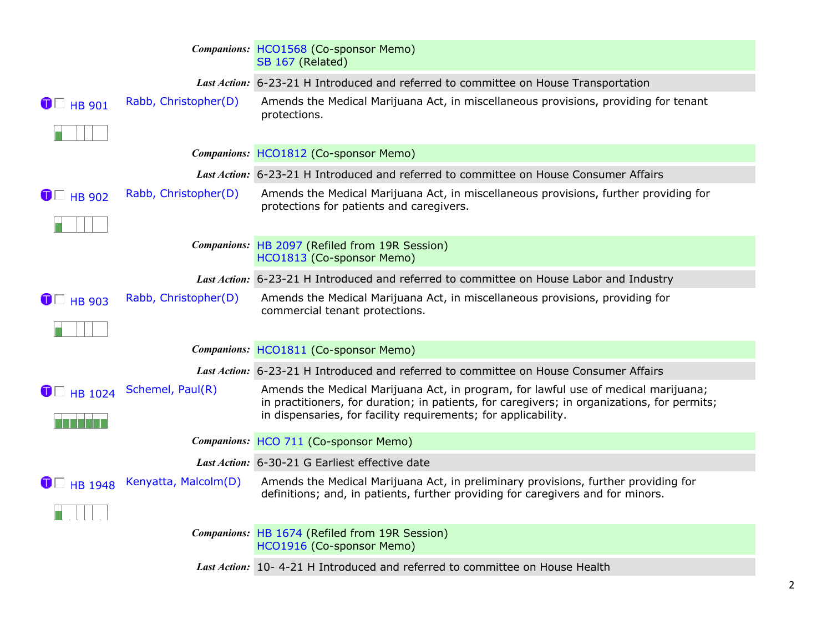|                   |                      | Companions: HCO1568 (Co-sponsor Memo)<br>SB 167 (Related)                                                                                                                                                                                           |
|-------------------|----------------------|-----------------------------------------------------------------------------------------------------------------------------------------------------------------------------------------------------------------------------------------------------|
|                   |                      | Last Action: 6-23-21 H Introduced and referred to committee on House Transportation                                                                                                                                                                 |
| $\bigcirc$ HB 901 | Rabb, Christopher(D) | Amends the Medical Marijuana Act, in miscellaneous provisions, providing for tenant<br>protections.                                                                                                                                                 |
|                   |                      | Companions: HCO1812 (Co-sponsor Memo)                                                                                                                                                                                                               |
|                   |                      | Last Action: 6-23-21 H Introduced and referred to committee on House Consumer Affairs                                                                                                                                                               |
| $\bigcirc$ HB 902 | Rabb, Christopher(D) | Amends the Medical Marijuana Act, in miscellaneous provisions, further providing for<br>protections for patients and caregivers.                                                                                                                    |
|                   |                      | Companions: HB 2097 (Refiled from 19R Session)<br>HCO1813 (Co-sponsor Memo)                                                                                                                                                                         |
|                   |                      | Last Action: 6-23-21 H Introduced and referred to committee on House Labor and Industry                                                                                                                                                             |
| $\bigcirc$ HB 903 | Rabb, Christopher(D) | Amends the Medical Marijuana Act, in miscellaneous provisions, providing for<br>commercial tenant protections.                                                                                                                                      |
|                   |                      | Companions: HCO1811 (Co-sponsor Memo)                                                                                                                                                                                                               |
|                   |                      | Last Action: 6-23-21 H Introduced and referred to committee on House Consumer Affairs                                                                                                                                                               |
| $\bullet$ HB 1024 | Schemel, Paul(R)     | Amends the Medical Marijuana Act, in program, for lawful use of medical marijuana;<br>in practitioners, for duration; in patients, for caregivers; in organizations, for permits;<br>in dispensaries, for facility requirements; for applicability. |
|                   |                      | Companions: HCO 711 (Co-sponsor Memo)                                                                                                                                                                                                               |
|                   |                      | Last Action: 6-30-21 G Earliest effective date                                                                                                                                                                                                      |
| $\bullet$ HB 1948 | Kenyatta, Malcolm(D) | Amends the Medical Marijuana Act, in preliminary provisions, further providing for<br>definitions; and, in patients, further providing for caregivers and for minors.                                                                               |
|                   |                      | Companions: HB 1674 (Refiled from 19R Session)<br>HCO1916 (Co-sponsor Memo)                                                                                                                                                                         |
|                   |                      | Last Action: 10-4-21 H Introduced and referred to committee on House Health                                                                                                                                                                         |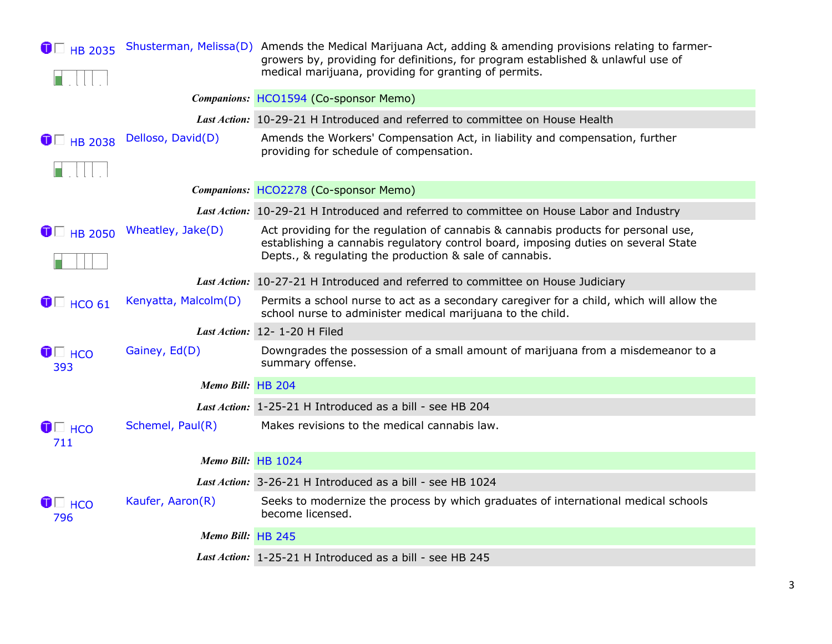| $\bullet$ HB 2035                     |                      | Shusterman, Melissa(D) Amends the Medical Marijuana Act, adding & amending provisions relating to farmer-<br>growers by, providing for definitions, for program established & unlawful use of<br>medical marijuana, providing for granting of permits. |
|---------------------------------------|----------------------|--------------------------------------------------------------------------------------------------------------------------------------------------------------------------------------------------------------------------------------------------------|
|                                       |                      | Companions: HCO1594 (Co-sponsor Memo)                                                                                                                                                                                                                  |
|                                       |                      | Last Action: 10-29-21 H Introduced and referred to committee on House Health                                                                                                                                                                           |
| $\blacksquare$ HB 2038                | Delloso, David(D)    | Amends the Workers' Compensation Act, in liability and compensation, further<br>providing for schedule of compensation.                                                                                                                                |
|                                       |                      | Companions: HCO2278 (Co-sponsor Memo)                                                                                                                                                                                                                  |
|                                       |                      | Last Action: 10-29-21 H Introduced and referred to committee on House Labor and Industry                                                                                                                                                               |
| $\bullet$ HB 2050                     | Wheatley, Jake(D)    | Act providing for the regulation of cannabis & cannabis products for personal use,<br>establishing a cannabis regulatory control board, imposing duties on several State<br>Depts., & regulating the production & sale of cannabis.                    |
|                                       |                      | Last Action: 10-27-21 H Introduced and referred to committee on House Judiciary                                                                                                                                                                        |
| $\blacksquare$ HCO 61                 | Kenyatta, Malcolm(D) | Permits a school nurse to act as a secondary caregiver for a child, which will allow the<br>school nurse to administer medical marijuana to the child.                                                                                                 |
|                                       |                      | Last Action: 12- 1-20 H Filed                                                                                                                                                                                                                          |
| $\bigcirc$ $\Box$ $\text{HCO}$<br>393 | Gainey, Ed(D)        | Downgrades the possession of a small amount of marijuana from a misdemeanor to a<br>summary offense.                                                                                                                                                   |
|                                       | Memo Bill: HB 204    |                                                                                                                                                                                                                                                        |
|                                       |                      | Last Action: 1-25-21 H Introduced as a bill - see HB 204                                                                                                                                                                                               |
| $\bigcirc$ $\Box$ $\text{HCO}$<br>711 | Schemel, Paul(R)     | Makes revisions to the medical cannabis law.                                                                                                                                                                                                           |
|                                       | Memo Bill: HB 1024   |                                                                                                                                                                                                                                                        |
|                                       |                      | Last Action: 3-26-21 H Introduced as a bill - see HB 1024                                                                                                                                                                                              |
| $\bigcirc$ $\Box$ $\text{HCO}$<br>796 | Kaufer, Aaron(R)     | Seeks to modernize the process by which graduates of international medical schools<br>become licensed.                                                                                                                                                 |
|                                       | Memo Bill: HB 245    |                                                                                                                                                                                                                                                        |
|                                       |                      | Last Action: 1-25-21 H Introduced as a bill - see HB 245                                                                                                                                                                                               |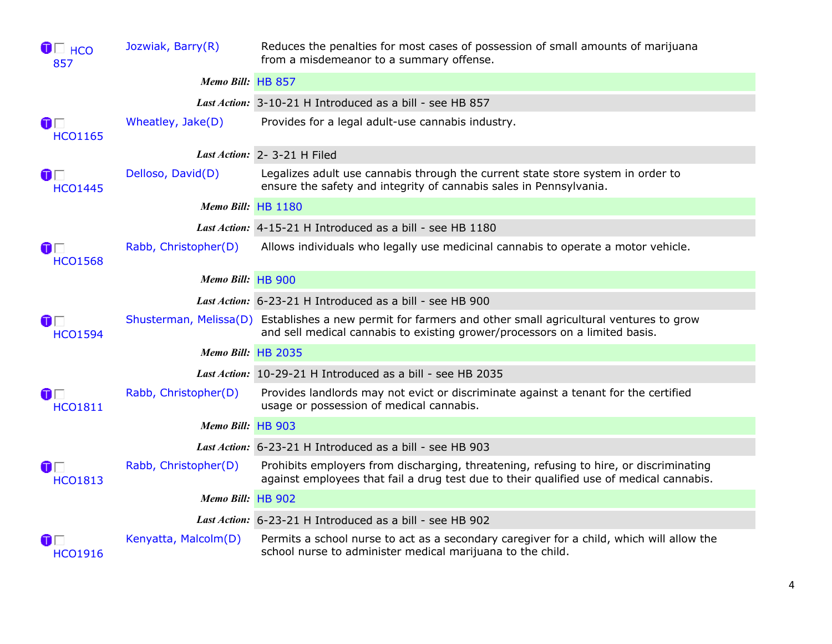| $\bigcirc$ $\Box$ $\text{HCO}$<br>857  | Jozwiak, Barry(R)    | Reduces the penalties for most cases of possession of small amounts of marijuana<br>from a misdemeanor to a summary offense.                                                             |
|----------------------------------------|----------------------|------------------------------------------------------------------------------------------------------------------------------------------------------------------------------------------|
|                                        | Memo Bill: HB 857    |                                                                                                                                                                                          |
|                                        |                      | Last Action: 3-10-21 H Introduced as a bill - see HB 857                                                                                                                                 |
| $\mathbf{O}\Box$<br><b>HCO1165</b>     | Wheatley, Jake(D)    | Provides for a legal adult-use cannabis industry.                                                                                                                                        |
|                                        |                      | Last Action: 2-3-21 H Filed                                                                                                                                                              |
| $\mathbf 0$ $\Box$<br><b>HCO1445</b>   | Delloso, David(D)    | Legalizes adult use cannabis through the current state store system in order to<br>ensure the safety and integrity of cannabis sales in Pennsylvania.                                    |
|                                        | Memo Bill: HB 1180   |                                                                                                                                                                                          |
|                                        |                      | Last Action: 4-15-21 H Introduced as a bill - see HB 1180                                                                                                                                |
| $\mathbf{O} \Box$<br><b>HCO1568</b>    | Rabb, Christopher(D) | Allows individuals who legally use medicinal cannabis to operate a motor vehicle.                                                                                                        |
|                                        | Memo Bill: HB 900    |                                                                                                                                                                                          |
|                                        |                      | Last Action: 6-23-21 H Introduced as a bill - see HB 900                                                                                                                                 |
| $\mathbf{O} \square$<br><b>HCO1594</b> |                      | Shusterman, Melissa(D) Establishes a new permit for farmers and other small agricultural ventures to grow<br>and sell medical cannabis to existing grower/processors on a limited basis. |
|                                        | Memo Bill: HB 2035   |                                                                                                                                                                                          |
|                                        |                      | Last Action: 10-29-21 H Introduced as a bill - see HB 2035                                                                                                                               |
| $\mathbf 0$ $\Box$<br><b>HCO1811</b>   | Rabb, Christopher(D) | Provides landlords may not evict or discriminate against a tenant for the certified<br>usage or possession of medical cannabis.                                                          |
|                                        | Memo Bill: HB 903    |                                                                                                                                                                                          |
|                                        |                      | Last Action: 6-23-21 H Introduced as a bill - see HB 903                                                                                                                                 |
| $\mathbf 0$ $\Box$<br><b>HCO1813</b>   | Rabb, Christopher(D) | Prohibits employers from discharging, threatening, refusing to hire, or discriminating<br>against employees that fail a drug test due to their qualified use of medical cannabis.        |
|                                        | Memo Bill: HB 902    |                                                                                                                                                                                          |
|                                        |                      | Last Action: 6-23-21 H Introduced as a bill - see HB 902                                                                                                                                 |
| OE<br><b>HCO1916</b>                   | Kenyatta, Malcolm(D) | Permits a school nurse to act as a secondary caregiver for a child, which will allow the<br>school nurse to administer medical marijuana to the child.                                   |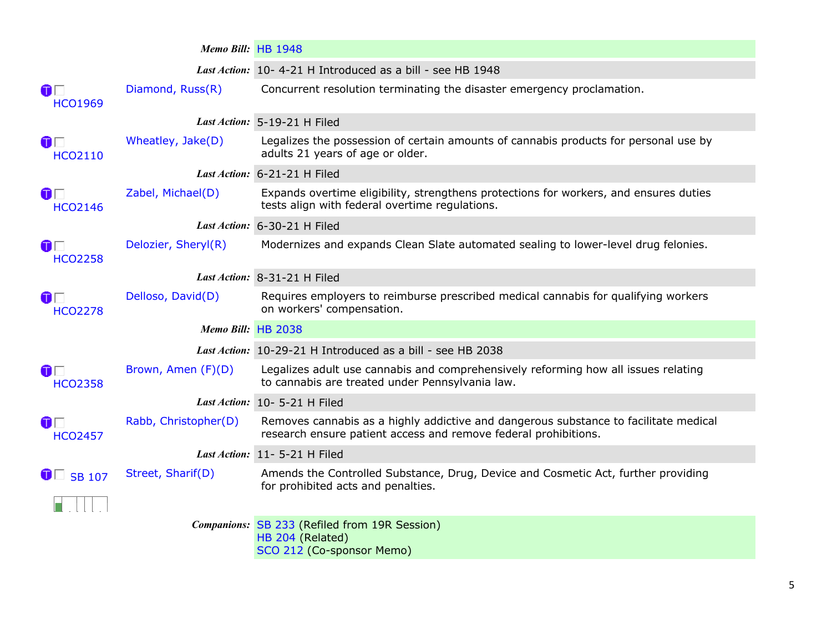|                                        | Memo Bill: HB 1948   |                                                                                                                                                         |
|----------------------------------------|----------------------|---------------------------------------------------------------------------------------------------------------------------------------------------------|
|                                        |                      | Last Action: 10-4-21 H Introduced as a bill - see HB 1948                                                                                               |
| $\mathbf{O} \Box$<br><b>HCO1969</b>    | Diamond, Russ(R)     | Concurrent resolution terminating the disaster emergency proclamation.                                                                                  |
|                                        |                      | Last Action: 5-19-21 H Filed                                                                                                                            |
| $\mathbf 0$ $\Box$<br><b>HCO2110</b>   | Wheatley, Jake(D)    | Legalizes the possession of certain amounts of cannabis products for personal use by<br>adults 21 years of age or older.                                |
|                                        |                      | Last Action: 6-21-21 H Filed                                                                                                                            |
| $\mathbf{O} \square$<br><b>HCO2146</b> | Zabel, Michael(D)    | Expands overtime eligibility, strengthens protections for workers, and ensures duties<br>tests align with federal overtime regulations.                 |
|                                        |                      | Last Action: 6-30-21 H Filed                                                                                                                            |
| $\mathbf{O} \square$<br><b>HCO2258</b> | Delozier, Sheryl(R)  | Modernizes and expands Clean Slate automated sealing to lower-level drug felonies.                                                                      |
|                                        |                      | Last Action: 8-31-21 H Filed                                                                                                                            |
| $\mathbf 0$ $\Box$<br><b>HCO2278</b>   | Delloso, David(D)    | Requires employers to reimburse prescribed medical cannabis for qualifying workers<br>on workers' compensation.                                         |
|                                        | Memo Bill: HB 2038   |                                                                                                                                                         |
|                                        |                      | Last Action: 10-29-21 H Introduced as a bill - see HB 2038                                                                                              |
| $\mathbf{O} \Box$<br><b>HCO2358</b>    | Brown, Amen (F)(D)   | Legalizes adult use cannabis and comprehensively reforming how all issues relating<br>to cannabis are treated under Pennsylvania law.                   |
|                                        |                      | Last Action: 10-5-21 H Filed                                                                                                                            |
| $\mathbf{O} \Box$<br><b>HCO2457</b>    | Rabb, Christopher(D) | Removes cannabis as a highly addictive and dangerous substance to facilitate medical<br>research ensure patient access and remove federal prohibitions. |
|                                        |                      | Last Action: 11-5-21 H Filed                                                                                                                            |
| $\bullet$ SB 107                       | Street, Sharif(D)    | Amends the Controlled Substance, Drug, Device and Cosmetic Act, further providing<br>for prohibited acts and penalties.                                 |
|                                        |                      | Companions: SB 233 (Refiled from 19R Session)<br>HB 204 (Related)<br>SCO 212 (Co-sponsor Memo)                                                          |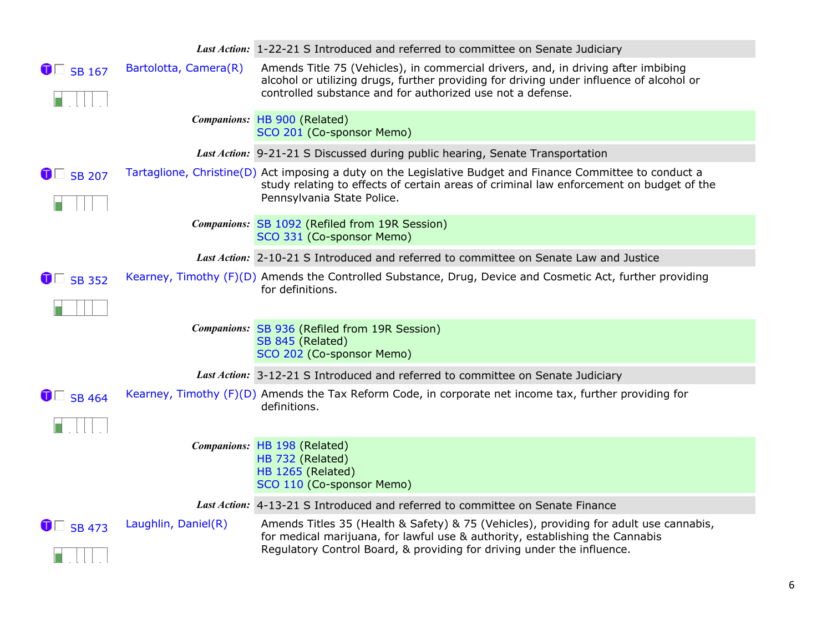|                  |                       | Last Action: 1-22-21 S Introduced and referred to committee on Senate Judiciary                                                                                                                                                                 |
|------------------|-----------------------|-------------------------------------------------------------------------------------------------------------------------------------------------------------------------------------------------------------------------------------------------|
| $\bullet$ SB 167 | Bartolotta, Camera(R) | Amends Title 75 (Vehicles), in commercial drivers, and, in driving after imbibing<br>alcohol or utilizing drugs, further providing for driving under influence of alcohol or<br>controlled substance and for authorized use not a defense.      |
|                  |                       | Companions: HB 900 (Related)<br>SCO 201 (Co-sponsor Memo)                                                                                                                                                                                       |
|                  |                       | Last Action: 9-21-21 S Discussed during public hearing, Senate Transportation                                                                                                                                                                   |
| $\bullet$ SB 207 |                       | Tartaglione, Christine(D) Act imposing a duty on the Legislative Budget and Finance Committee to conduct a<br>study relating to effects of certain areas of criminal law enforcement on budget of the<br>Pennsylvania State Police.             |
|                  |                       | Companions: SB 1092 (Refiled from 19R Session)<br>SCO 331 (Co-sponsor Memo)                                                                                                                                                                     |
|                  |                       | Last Action: 2-10-21 S Introduced and referred to committee on Senate Law and Justice                                                                                                                                                           |
| $\bullet$ SB 352 |                       | Kearney, Timothy (F)(D) Amends the Controlled Substance, Drug, Device and Cosmetic Act, further providing<br>for definitions.                                                                                                                   |
|                  |                       | Companions: SB 936 (Refiled from 19R Session)<br>SB 845 (Related)<br>SCO 202 (Co-sponsor Memo)                                                                                                                                                  |
|                  |                       | Last Action: 3-12-21 S Introduced and referred to committee on Senate Judiciary                                                                                                                                                                 |
| $\bullet$ SB 464 |                       | Kearney, Timothy (F)(D) Amends the Tax Reform Code, in corporate net income tax, further providing for<br>definitions.                                                                                                                          |
|                  |                       | Companions: HB 198 (Related)                                                                                                                                                                                                                    |
|                  |                       | HB 732 (Related)<br>HB 1265 (Related)<br>SCO 110 (Co-sponsor Memo)                                                                                                                                                                              |
|                  |                       | Last Action: 4-13-21 S Introduced and referred to committee on Senate Finance                                                                                                                                                                   |
| $\bullet$ SB 473 | Laughlin, Daniel(R)   | Amends Titles 35 (Health & Safety) & 75 (Vehicles), providing for adult use cannabis,<br>for medical marijuana, for lawful use & authority, establishing the Cannabis<br>Regulatory Control Board, & providing for driving under the influence. |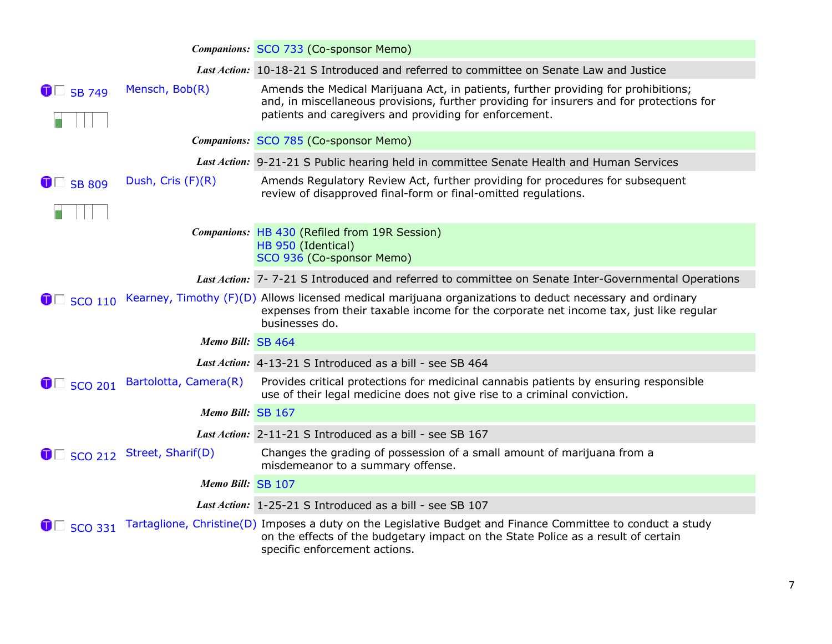|                        |                                     | Companions: SCO 733 (Co-sponsor Memo)                                                                                                                                                                                                    |
|------------------------|-------------------------------------|------------------------------------------------------------------------------------------------------------------------------------------------------------------------------------------------------------------------------------------|
|                        |                                     | Last Action: 10-18-21 S Introduced and referred to committee on Senate Law and Justice                                                                                                                                                   |
| $\bullet$ SB 749       | Mensch, Bob(R)                      | Amends the Medical Marijuana Act, in patients, further providing for prohibitions;<br>and, in miscellaneous provisions, further providing for insurers and for protections for<br>patients and caregivers and providing for enforcement. |
|                        |                                     | Companions: SCO 785 (Co-sponsor Memo)                                                                                                                                                                                                    |
|                        |                                     | Last Action: 9-21-21 S Public hearing held in committee Senate Health and Human Services                                                                                                                                                 |
| $\bullet$ SB 809       | Dush, Cris (F)(R)                   | Amends Regulatory Review Act, further providing for procedures for subsequent<br>review of disapproved final-form or final-omitted regulations.                                                                                          |
|                        |                                     | Companions: HB 430 (Refiled from 19R Session)<br>HB 950 (Identical)<br>SCO 936 (Co-sponsor Memo)                                                                                                                                         |
|                        |                                     | Last Action: 7-7-21 S Introduced and referred to committee on Senate Inter-Governmental Operations                                                                                                                                       |
| $\blacksquare$ SCO 110 |                                     | Kearney, Timothy (F)(D) Allows licensed medical marijuana organizations to deduct necessary and ordinary<br>expenses from their taxable income for the corporate net income tax, just like regular<br>businesses do.                     |
|                        | Memo Bill: SB 464                   |                                                                                                                                                                                                                                          |
|                        |                                     | Last Action: 4-13-21 S Introduced as a bill - see SB 464                                                                                                                                                                                 |
| $\bullet$ SCO 201      | Bartolotta, Camera(R)               | Provides critical protections for medicinal cannabis patients by ensuring responsible<br>use of their legal medicine does not give rise to a criminal conviction.                                                                        |
|                        | Memo Bill: SB 167                   |                                                                                                                                                                                                                                          |
|                        |                                     | Last Action: 2-11-21 S Introduced as a bill - see SB 167                                                                                                                                                                                 |
|                        | $\bullet$ Sco 212 Street, Sharif(D) | Changes the grading of possession of a small amount of marijuana from a<br>misdemeanor to a summary offense.                                                                                                                             |
|                        | Memo Bill: SB 107                   |                                                                                                                                                                                                                                          |
|                        |                                     | Last Action: 1-25-21 S Introduced as a bill - see SB 107                                                                                                                                                                                 |
| $\bullet$ SCO 331      |                                     | Tartaglione, Christine(D) Imposes a duty on the Legislative Budget and Finance Committee to conduct a study<br>on the effects of the budgetary impact on the State Police as a result of certain<br>specific enforcement actions.        |